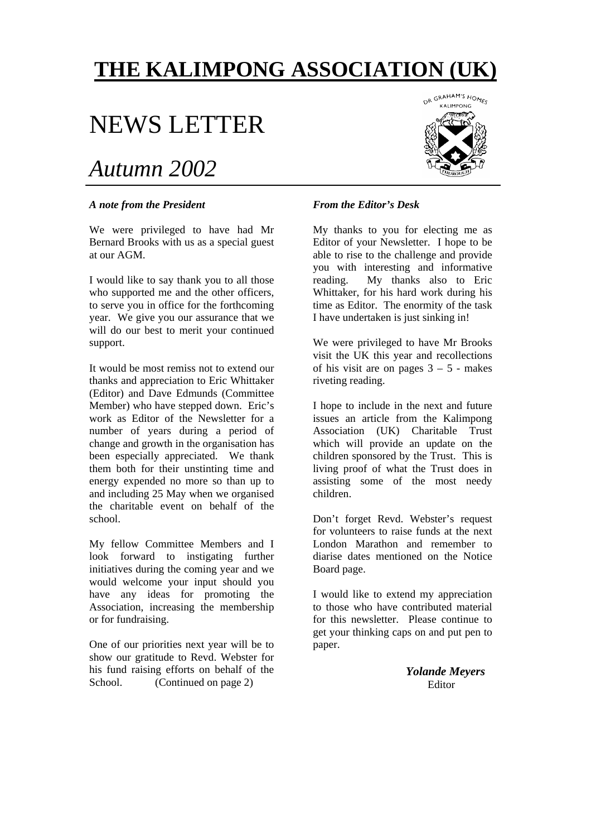## **THE KALIMPONG ASSOCIATION (UK)**

# NEWS LETTER

## *Autumn 2002*

#### *A note from the President*

We were privileged to have had Mr Bernard Brooks with us as a special guest at our AGM.

I would like to say thank you to all those who supported me and the other officers, to serve you in office for the forthcoming year. We give you our assurance that we will do our best to merit your continued support.

It would be most remiss not to extend our thanks and appreciation to Eric Whittaker (Editor) and Dave Edmunds (Committee Member) who have stepped down. Eric's work as Editor of the Newsletter for a number of years during a period of change and growth in the organisation has been especially appreciated. We thank them both for their unstinting time and energy expended no more so than up to and including 25 May when we organised the charitable event on behalf of the school.

My fellow Committee Members and I look forward to instigating further initiatives during the coming year and we would welcome your input should you have any ideas for promoting the Association, increasing the membership or for fundraising.

One of our priorities next year will be to show our gratitude to Revd. Webster for his fund raising efforts on behalf of the School. (Continued on page 2)



#### *From the Editor's Desk*

My thanks to you for electing me as Editor of your Newsletter. I hope to be able to rise to the challenge and provide you with interesting and informative reading. My thanks also to Eric Whittaker, for his hard work during his time as Editor. The enormity of the task I have undertaken is just sinking in!

We were privileged to have Mr Brooks visit the UK this year and recollections of his visit are on pages  $3 - 5$  - makes riveting reading.

I hope to include in the next and future issues an article from the Kalimpong Association (UK) Charitable Trust which will provide an update on the children sponsored by the Trust. This is living proof of what the Trust does in assisting some of the most needy children.

Don't forget Revd. Webster's request for volunteers to raise funds at the next London Marathon and remember to diarise dates mentioned on the Notice Board page.

I would like to extend my appreciation to those who have contributed material for this newsletter. Please continue to get your thinking caps on and put pen to paper.

> *Yolande Meyers* Editor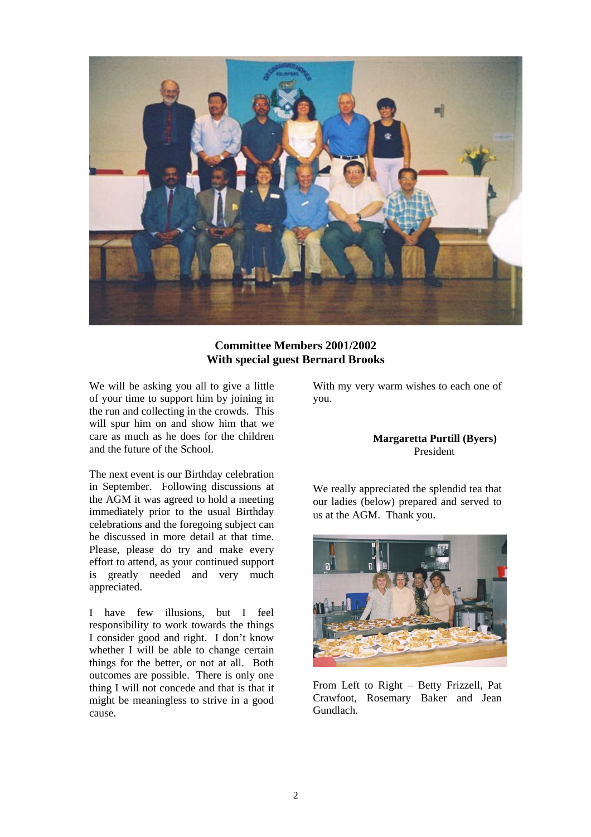

## **Committee Members 2001/2002 With special guest Bernard Brooks**

We will be asking you all to give a little of your time to support him by joining in the run and collecting in the crowds. This will spur him on and show him that we care as much as he does for the children and the future of the School.

The next event is our Birthday celebration in September. Following discussions at the AGM it was agreed to hold a meeting immediately prior to the usual Birthday celebrations and the foregoing subject can be discussed in more detail at that time. Please, please do try and make every effort to attend, as your continued support is greatly needed and very much appreciated.

I have few illusions, but I feel responsibility to work towards the things I consider good and right. I don't know whether I will be able to change certain things for the better, or not at all. Both outcomes are possible. There is only one thing I will not concede and that is that it might be meaningless to strive in a good cause.

With my very warm wishes to each one of you.

#### **Margaretta Purtill (Byers)**  President

We really appreciated the splendid tea that our ladies (below) prepared and served to us at the AGM. Thank you.



From Left to Right – Betty Frizzell, Pat Crawfoot, Rosemary Baker and Jean Gundlach.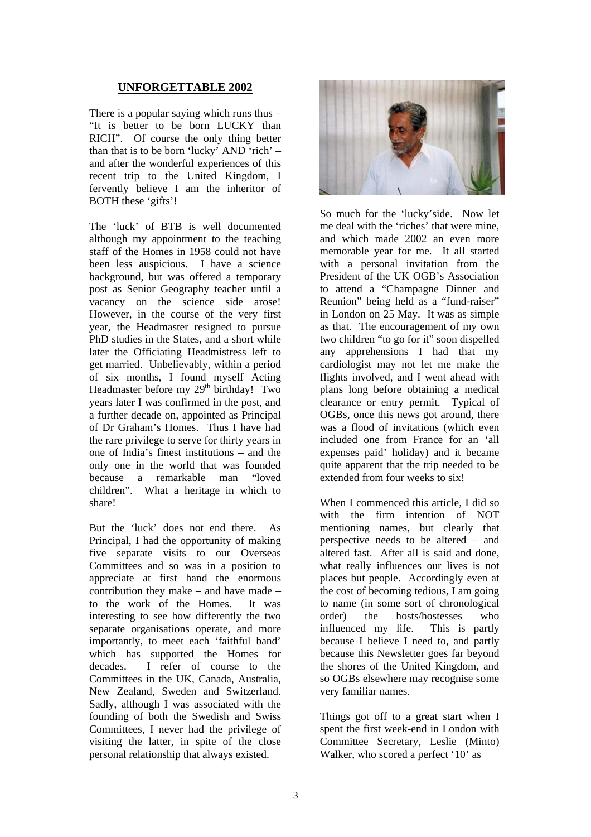## **UNFORGETTABLE 2002**

There is a popular saying which runs thus – "It is better to be born LUCKY than RICH". Of course the only thing better than that is to be born 'lucky' AND 'rich' – and after the wonderful experiences of this recent trip to the United Kingdom, I fervently believe I am the inheritor of BOTH these 'gifts'!

The 'luck' of BTB is well documented although my appointment to the teaching staff of the Homes in 1958 could not have been less auspicious. I have a science background, but was offered a temporary post as Senior Geography teacher until a vacancy on the science side arose! However, in the course of the very first year, the Headmaster resigned to pursue PhD studies in the States, and a short while later the Officiating Headmistress left to get married. Unbelievably, within a period of six months, I found myself Acting Headmaster before my  $29<sup>th</sup>$  birthday! Two years later I was confirmed in the post, and a further decade on, appointed as Principal of Dr Graham's Homes. Thus I have had the rare privilege to serve for thirty years in one of India's finest institutions – and the only one in the world that was founded because a remarkable man "loved children". What a heritage in which to share!

But the 'luck' does not end there. As Principal, I had the opportunity of making five separate visits to our Overseas Committees and so was in a position to appreciate at first hand the enormous contribution they make – and have made – to the work of the Homes. It was interesting to see how differently the two separate organisations operate, and more importantly, to meet each 'faithful band' which has supported the Homes for decades. I refer of course to the Committees in the UK, Canada, Australia, New Zealand, Sweden and Switzerland. Sadly, although I was associated with the founding of both the Swedish and Swiss Committees, I never had the privilege of visiting the latter, in spite of the close personal relationship that always existed.



So much for the 'lucky'side. Now let me deal with the 'riches' that were mine, and which made 2002 an even more memorable year for me. It all started with a personal invitation from the President of the UK OGB's Association to attend a "Champagne Dinner and Reunion" being held as a "fund-raiser" in London on 25 May. It was as simple as that. The encouragement of my own two children "to go for it" soon dispelled any apprehensions I had that my cardiologist may not let me make the flights involved, and I went ahead with plans long before obtaining a medical clearance or entry permit. Typical of OGBs, once this news got around, there was a flood of invitations (which even included one from France for an 'all expenses paid' holiday) and it became quite apparent that the trip needed to be extended from four weeks to six!

When I commenced this article, I did so with the firm intention of NOT mentioning names, but clearly that perspective needs to be altered – and altered fast. After all is said and done, what really influences our lives is not places but people. Accordingly even at the cost of becoming tedious, I am going to name (in some sort of chronological order) the hosts/hostesses who influenced my life. This is partly because I believe I need to, and partly because this Newsletter goes far beyond the shores of the United Kingdom, and so OGBs elsewhere may recognise some very familiar names.

Things got off to a great start when I spent the first week-end in London with Committee Secretary, Leslie (Minto) Walker, who scored a perfect '10' as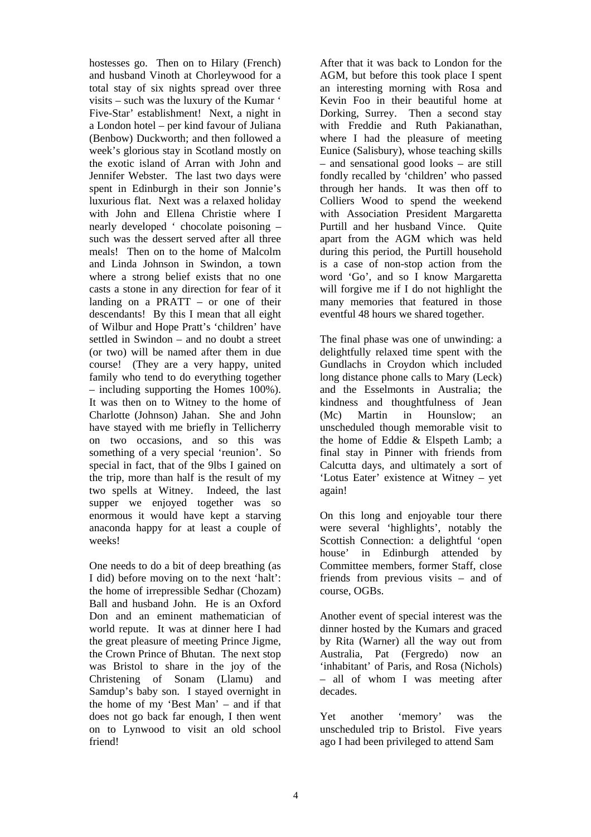hostesses go. Then on to Hilary (French) and husband Vinoth at Chorleywood for a total stay of six nights spread over three visits – such was the luxury of the Kumar ' Five-Star' establishment! Next, a night in a London hotel – per kind favour of Juliana (Benbow) Duckworth; and then followed a week's glorious stay in Scotland mostly on the exotic island of Arran with John and Jennifer Webster. The last two days were spent in Edinburgh in their son Jonnie's luxurious flat. Next was a relaxed holiday with John and Ellena Christie where I nearly developed ' chocolate poisoning – such was the dessert served after all three meals! Then on to the home of Malcolm and Linda Johnson in Swindon, a town where a strong belief exists that no one casts a stone in any direction for fear of it landing on a PRATT – or one of their descendants! By this I mean that all eight of Wilbur and Hope Pratt's 'children' have settled in Swindon – and no doubt a street (or two) will be named after them in due course! (They are a very happy, united family who tend to do everything together – including supporting the Homes 100%). It was then on to Witney to the home of Charlotte (Johnson) Jahan. She and John have stayed with me briefly in Tellicherry on two occasions, and so this was something of a very special 'reunion'. So special in fact, that of the 9lbs I gained on the trip, more than half is the result of my two spells at Witney. Indeed, the last supper we enjoyed together was so enormous it would have kept a starving anaconda happy for at least a couple of weeks!

One needs to do a bit of deep breathing (as I did) before moving on to the next 'halt': the home of irrepressible Sedhar (Chozam) Ball and husband John. He is an Oxford Don and an eminent mathematician of world repute. It was at dinner here I had the great pleasure of meeting Prince Jigme, the Crown Prince of Bhutan. The next stop was Bristol to share in the joy of the Christening of Sonam (Llamu) and Samdup's baby son. I stayed overnight in the home of my 'Best Man' – and if that does not go back far enough, I then went on to Lynwood to visit an old school friend!

After that it was back to London for the AGM, but before this took place I spent an interesting morning with Rosa and Kevin Foo in their beautiful home at Dorking, Surrey. Then a second stay with Freddie and Ruth Pakianathan, where I had the pleasure of meeting Eunice (Salisbury), whose teaching skills – and sensational good looks – are still fondly recalled by 'children' who passed through her hands. It was then off to Colliers Wood to spend the weekend with Association President Margaretta Purtill and her husband Vince. Quite apart from the AGM which was held during this period, the Purtill household is a case of non-stop action from the word 'Go', and so I know Margaretta will forgive me if I do not highlight the many memories that featured in those eventful 48 hours we shared together.

The final phase was one of unwinding: a delightfully relaxed time spent with the Gundlachs in Croydon which included long distance phone calls to Mary (Leck) and the Esselmonts in Australia; the kindness and thoughtfulness of Jean (Mc) Martin in Hounslow; an unscheduled though memorable visit to the home of Eddie & Elspeth Lamb; a final stay in Pinner with friends from Calcutta days, and ultimately a sort of 'Lotus Eater' existence at Witney – yet again!

On this long and enjoyable tour there were several 'highlights', notably the Scottish Connection: a delightful 'open house' in Edinburgh attended by Committee members, former Staff, close friends from previous visits – and of course, OGBs.

Another event of special interest was the dinner hosted by the Kumars and graced by Rita (Warner) all the way out from Australia, Pat (Fergredo) now an 'inhabitant' of Paris, and Rosa (Nichols) – all of whom I was meeting after decades.

Yet another 'memory' was the unscheduled trip to Bristol. Five years ago I had been privileged to attend Sam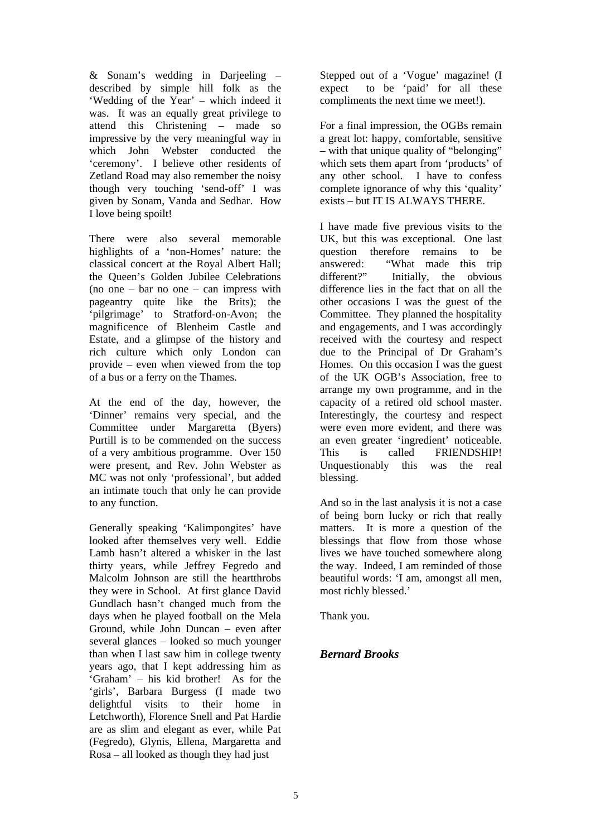& Sonam's wedding in Darjeeling – described by simple hill folk as the 'Wedding of the Year' – which indeed it was. It was an equally great privilege to attend this Christening – made so impressive by the very meaningful way in which John Webster conducted the 'ceremony'. I believe other residents of Zetland Road may also remember the noisy though very touching 'send-off' I was given by Sonam, Vanda and Sedhar. How I love being spoilt!

There were also several memorable highlights of a 'non-Homes' nature: the classical concert at the Royal Albert Hall; the Queen's Golden Jubilee Celebrations (no one – bar no one – can impress with pageantry quite like the Brits); the 'pilgrimage' to Stratford-on-Avon; the magnificence of Blenheim Castle and Estate, and a glimpse of the history and rich culture which only London can provide – even when viewed from the top of a bus or a ferry on the Thames.

At the end of the day, however, the 'Dinner' remains very special, and the Committee under Margaretta (Byers) Purtill is to be commended on the success of a very ambitious programme. Over 150 were present, and Rev. John Webster as MC was not only 'professional', but added an intimate touch that only he can provide to any function.

Generally speaking 'Kalimpongites' have looked after themselves very well. Eddie Lamb hasn't altered a whisker in the last thirty years, while Jeffrey Fegredo and Malcolm Johnson are still the heartthrobs they were in School. At first glance David Gundlach hasn't changed much from the days when he played football on the Mela Ground, while John Duncan – even after several glances – looked so much younger than when I last saw him in college twenty years ago, that I kept addressing him as 'Graham' – his kid brother! As for the 'girls', Barbara Burgess (I made two delightful visits to their home in Letchworth), Florence Snell and Pat Hardie are as slim and elegant as ever, while Pat (Fegredo), Glynis, Ellena, Margaretta and Rosa – all looked as though they had just

Stepped out of a 'Vogue' magazine! (I expect to be 'paid' for all these compliments the next time we meet!).

For a final impression, the OGBs remain a great lot: happy, comfortable, sensitive – with that unique quality of "belonging" which sets them apart from 'products' of any other school. I have to confess complete ignorance of why this 'quality' exists – but IT IS ALWAYS THERE.

I have made five previous visits to the UK, but this was exceptional. One last question therefore remains to be answered: "What made this trip different?" Initially, the obvious difference lies in the fact that on all the other occasions I was the guest of the Committee. They planned the hospitality and engagements, and I was accordingly received with the courtesy and respect due to the Principal of Dr Graham's Homes. On this occasion I was the guest of the UK OGB's Association, free to arrange my own programme, and in the capacity of a retired old school master. Interestingly, the courtesy and respect were even more evident, and there was an even greater 'ingredient' noticeable. This is called FRIENDSHIP! Unquestionably this was the real blessing.

And so in the last analysis it is not a case of being born lucky or rich that really matters. It is more a question of the blessings that flow from those whose lives we have touched somewhere along the way. Indeed, I am reminded of those beautiful words: 'I am, amongst all men, most richly blessed.'

Thank you.

## *Bernard Brooks*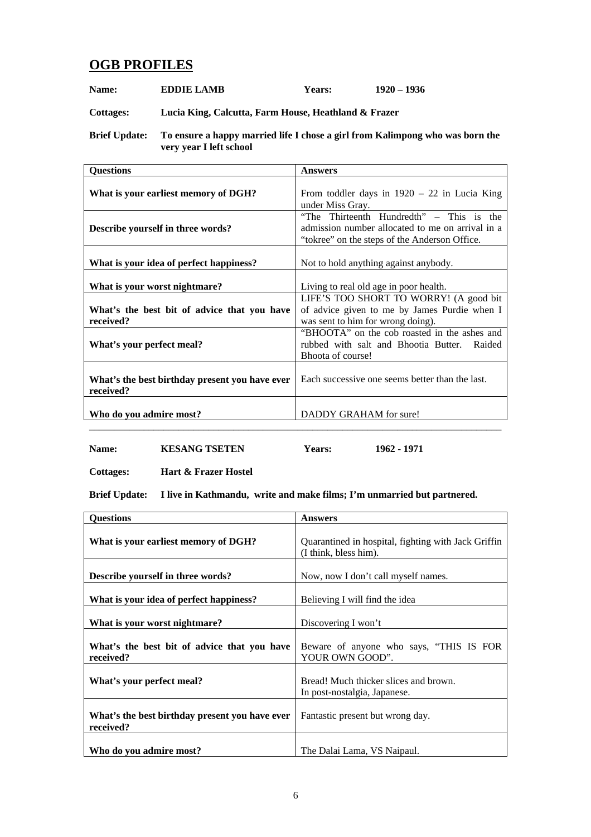## **OGB PROFILES**

**Name:** EDDIE LAMB Years: 1920 – 1936

**Cottages: Lucia King, Calcutta, Farm House, Heathland & Frazer** 

**Brief Update: To ensure a happy married life I chose a girl from Kalimpong who was born the very year I left school**

| <b>Questions</b>                                            | <b>Answers</b>                                                                                                                                |
|-------------------------------------------------------------|-----------------------------------------------------------------------------------------------------------------------------------------------|
| What is your earliest memory of DGH?                        | From toddler days in $1920 - 22$ in Lucia King<br>under Miss Gray.                                                                            |
| Describe yourself in three words?                           | "The Thirteenth Hundredth" – This is the<br>admission number allocated to me on arrival in a<br>"tokree" on the steps of the Anderson Office. |
| What is your idea of perfect happiness?                     | Not to hold anything against anybody.                                                                                                         |
| What is your worst nightmare?                               | Living to real old age in poor health.                                                                                                        |
| What's the best bit of advice that you have<br>received?    | LIFE'S TOO SHORT TO WORRY! (A good bit<br>of advice given to me by James Purdie when I<br>was sent to him for wrong doing).                   |
| What's your perfect meal?                                   | "BHOOTA" on the cob roasted in the ashes and<br>rubbed with salt and Bhootia Butter. Raided<br>Bhoota of course!                              |
| What's the best birthday present you have ever<br>received? | Each successive one seems better than the last.                                                                                               |
| Who do you admire most?                                     | DADDY GRAHAM for sure!                                                                                                                        |

**Name: KESANG TSETEN Years: 1962 • 1971** 

**Cottages: Hart & Frazer Hostel** 

**Brief Update: I live in Kathmandu, write and make films; I'm unmarried but partnered.** 

| <b>Questions</b>                                            | <b>Answers</b>                                                               |
|-------------------------------------------------------------|------------------------------------------------------------------------------|
| What is your earliest memory of DGH?                        | Quarantined in hospital, fighting with Jack Griffin<br>(I think, bless him). |
| Describe yourself in three words?                           | Now, now I don't call myself names.                                          |
| What is your idea of perfect happiness?                     | Believing I will find the idea                                               |
| What is your worst nightmare?                               | Discovering I won't                                                          |
| What's the best bit of advice that you have<br>received?    | Beware of anyone who says, "THIS IS FOR<br>YOUR OWN GOOD".                   |
| What's your perfect meal?                                   | Bread! Much thicker slices and brown.<br>In post-nostalgia, Japanese.        |
| What's the best birthday present you have ever<br>received? | Fantastic present but wrong day.                                             |
| Who do you admire most?                                     | The Dalai Lama, VS Naipaul.                                                  |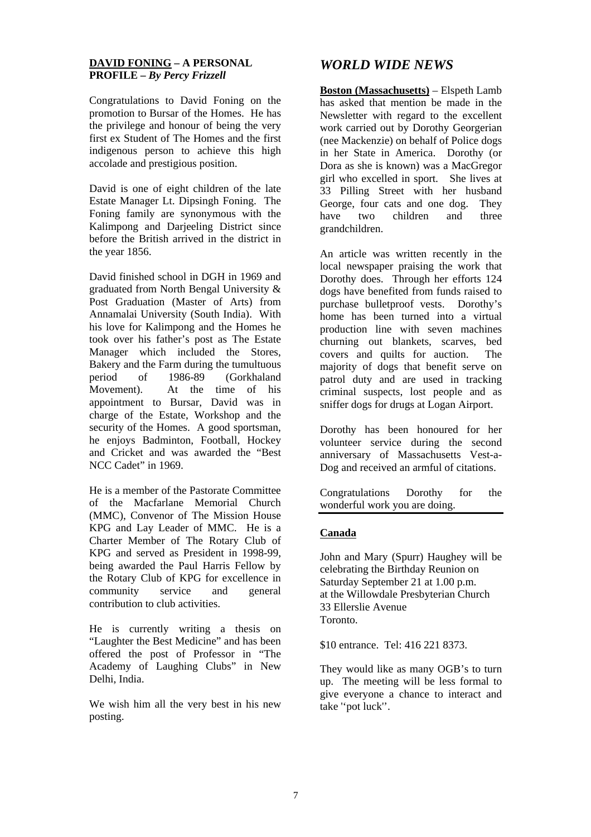## **DAVID FONING – A PERSONAL PROFILE** *– By Percy Frizzell*

Congratulations to David Foning on the promotion to Bursar of the Homes. He has the privilege and honour of being the very first ex Student of The Homes and the first indigenous person to achieve this high accolade and prestigious position.

David is one of eight children of the late Estate Manager Lt. Dipsingh Foning. The Foning family are synonymous with the Kalimpong and Darjeeling District since before the British arrived in the district in the year 1856.

David finished school in DGH in 1969 and graduated from North Bengal University & Post Graduation (Master of Arts) from Annamalai University (South India). With his love for Kalimpong and the Homes he took over his father's post as The Estate Manager which included the Stores, Bakery and the Farm during the tumultuous period of 1986-89 (Gorkhaland Movement). At the time of his appointment to Bursar, David was in charge of the Estate, Workshop and the security of the Homes. A good sportsman, he enjoys Badminton, Football, Hockey and Cricket and was awarded the "Best NCC Cadet" in 1969.

He is a member of the Pastorate Committee of the Macfarlane Memorial Church (MMC), Convenor of The Mission House KPG and Lay Leader of MMC. He is a Charter Member of The Rotary Club of KPG and served as President in 1998-99, being awarded the Paul Harris Fellow by the Rotary Club of KPG for excellence in community service and general contribution to club activities.

He is currently writing a thesis on "Laughter the Best Medicine" and has been offered the post of Professor in "The Academy of Laughing Clubs" in New Delhi, India.

We wish him all the very best in his new posting.

## *WORLD WIDE NEWS*

**Boston (Massachusetts)** – Elspeth Lamb has asked that mention be made in the Newsletter with regard to the excellent work carried out by Dorothy Georgerian (nee Mackenzie) on behalf of Police dogs in her State in America. Dorothy (or Dora as she is known) was a MacGregor girl who excelled in sport. She lives at 33 Pilling Street with her husband George, four cats and one dog. They have two children and three grandchildren.

An article was written recently in the local newspaper praising the work that Dorothy does. Through her efforts 124 dogs have benefited from funds raised to purchase bulletproof vests. Dorothy's home has been turned into a virtual production line with seven machines churning out blankets, scarves, bed covers and quilts for auction. The majority of dogs that benefit serve on patrol duty and are used in tracking criminal suspects, lost people and as sniffer dogs for drugs at Logan Airport.

Dorothy has been honoured for her volunteer service during the second anniversary of Massachusetts Vest-a-Dog and received an armful of citations.

Congratulations Dorothy for the wonderful work you are doing.

## **Canada**

John and Mary (Spurr) Haughey will be celebrating the Birthday Reunion on Saturday September 21 at 1.00 p.m. at the Willowdale Presbyterian Church 33 Ellerslie Avenue Toronto.

\$10 entrance. Tel: 416 221 8373.

They would like as many OGB's to turn up. The meeting will be less formal to give everyone a chance to interact and take ''pot luck''.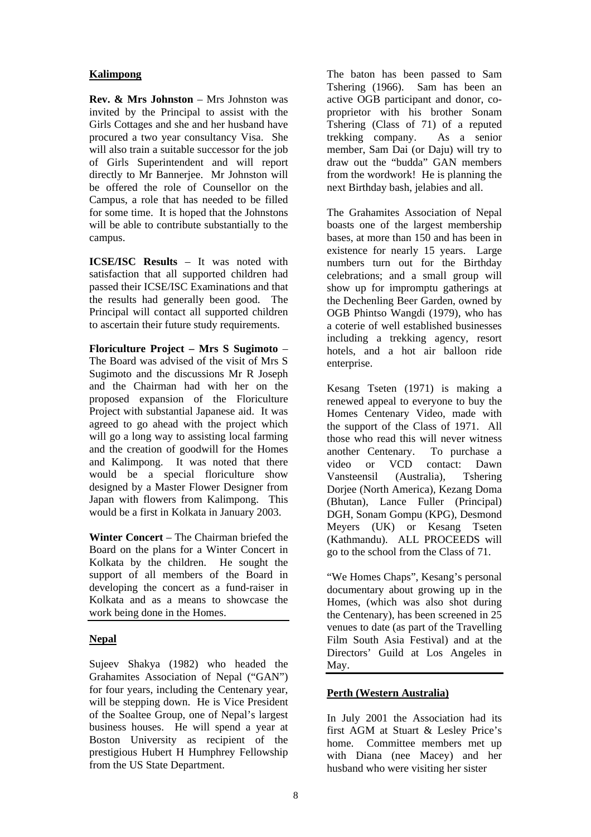## **Kalimpong**

**Rev. & Mrs Johnston** – Mrs Johnston was invited by the Principal to assist with the Girls Cottages and she and her husband have procured a two year consultancy Visa. She will also train a suitable successor for the job of Girls Superintendent and will report directly to Mr Bannerjee. Mr Johnston will be offered the role of Counsellor on the Campus, a role that has needed to be filled for some time. It is hoped that the Johnstons will be able to contribute substantially to the campus.

**ICSE/ISC Results** – It was noted with satisfaction that all supported children had passed their ICSE/ISC Examinations and that the results had generally been good. The Principal will contact all supported children to ascertain their future study requirements.

**Floriculture Project – Mrs S Sugimoto** – The Board was advised of the visit of Mrs S Sugimoto and the discussions Mr R Joseph and the Chairman had with her on the proposed expansion of the Floriculture Project with substantial Japanese aid. It was agreed to go ahead with the project which will go a long way to assisting local farming and the creation of goodwill for the Homes and Kalimpong. It was noted that there would be a special floriculture show designed by a Master Flower Designer from Japan with flowers from Kalimpong. This would be a first in Kolkata in January 2003.

**Winter Concert** – The Chairman briefed the Board on the plans for a Winter Concert in Kolkata by the children. He sought the support of all members of the Board in developing the concert as a fund-raiser in Kolkata and as a means to showcase the work being done in the Homes.

## **Nepal**

Sujeev Shakya (1982) who headed the Grahamites Association of Nepal ("GAN") for four years, including the Centenary year, will be stepping down. He is Vice President of the Soaltee Group, one of Nepal's largest business houses. He will spend a year at Boston University as recipient of the prestigious Hubert H Humphrey Fellowship from the US State Department.

The baton has been passed to Sam Tshering (1966). Sam has been an active OGB participant and donor, coproprietor with his brother Sonam Tshering (Class of 71) of a reputed trekking company. As a senior member, Sam Dai (or Daju) will try to draw out the "budda" GAN members from the wordwork! He is planning the next Birthday bash, jelabies and all.

The Grahamites Association of Nepal boasts one of the largest membership bases, at more than 150 and has been in existence for nearly 15 years. Large numbers turn out for the Birthday celebrations; and a small group will show up for impromptu gatherings at the Dechenling Beer Garden, owned by OGB Phintso Wangdi (1979), who has a coterie of well established businesses including a trekking agency, resort hotels, and a hot air balloon ride enterprise.

Kesang Tseten (1971) is making a renewed appeal to everyone to buy the Homes Centenary Video, made with the support of the Class of 1971. All those who read this will never witness another Centenary. To purchase a video or VCD contact: Dawn Vansteensil (Australia), Tshering Dorjee (North America), Kezang Doma (Bhutan), Lance Fuller (Principal) DGH, Sonam Gompu (KPG), Desmond Meyers (UK) or Kesang Tseten (Kathmandu). ALL PROCEEDS will go to the school from the Class of 71.

"We Homes Chaps", Kesang's personal documentary about growing up in the Homes, (which was also shot during the Centenary), has been screened in 25 venues to date (as part of the Travelling Film South Asia Festival) and at the Directors' Guild at Los Angeles in May.

## **Perth (Western Australia)**

In July 2001 the Association had its first AGM at Stuart & Lesley Price's home. Committee members met up with Diana (nee Macey) and her husband who were visiting her sister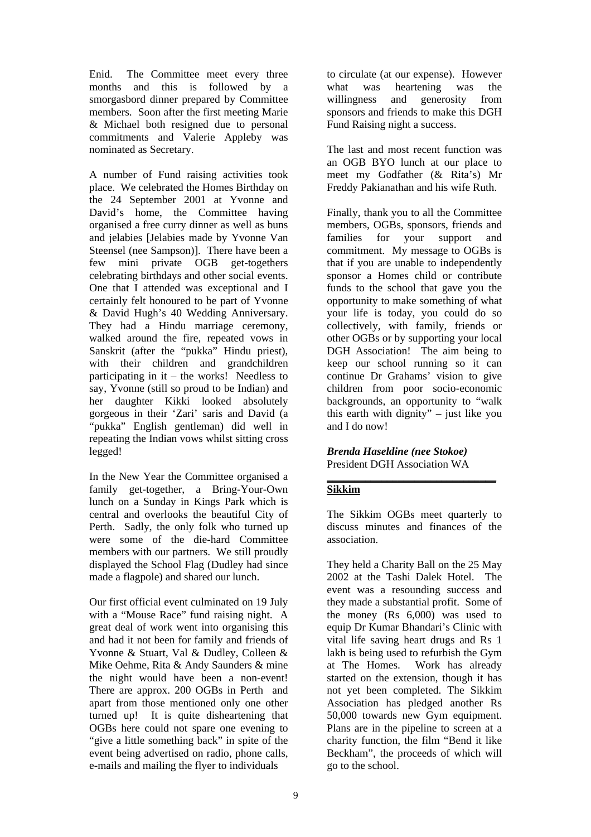Enid. The Committee meet every three months and this is followed by a smorgasbord dinner prepared by Committee members. Soon after the first meeting Marie & Michael both resigned due to personal commitments and Valerie Appleby was nominated as Secretary.

A number of Fund raising activities took place. We celebrated the Homes Birthday on the 24 September 2001 at Yvonne and David's home, the Committee having organised a free curry dinner as well as buns and jelabies [Jelabies made by Yvonne Van Steensel (nee Sampson)]. There have been a few mini private OGB get-togethers celebrating birthdays and other social events. One that I attended was exceptional and I certainly felt honoured to be part of Yvonne & David Hugh's 40 Wedding Anniversary. They had a Hindu marriage ceremony, walked around the fire, repeated vows in Sanskrit (after the "pukka" Hindu priest), with their children and grandchildren participating in it – the works! Needless to say, Yvonne (still so proud to be Indian) and her daughter Kikki looked absolutely gorgeous in their 'Zari' saris and David (a "pukka" English gentleman) did well in repeating the Indian vows whilst sitting cross legged!

In the New Year the Committee organised a family get-together, a Bring-Your-Own lunch on a Sunday in Kings Park which is central and overlooks the beautiful City of Perth. Sadly, the only folk who turned up were some of the die-hard Committee members with our partners. We still proudly displayed the School Flag (Dudley had since made a flagpole) and shared our lunch.

Our first official event culminated on 19 July with a "Mouse Race" fund raising night. A great deal of work went into organising this and had it not been for family and friends of Yvonne & Stuart, Val & Dudley, Colleen & Mike Oehme, Rita & Andy Saunders & mine the night would have been a non-event! There are approx. 200 OGBs in Perth and apart from those mentioned only one other turned up! It is quite disheartening that OGBs here could not spare one evening to "give a little something back" in spite of the event being advertised on radio, phone calls, e-mails and mailing the flyer to individuals

to circulate (at our expense). However what was heartening was the willingness and generosity from sponsors and friends to make this DGH Fund Raising night a success.

The last and most recent function was an OGB BYO lunch at our place to meet my Godfather (& Rita's) Mr Freddy Pakianathan and his wife Ruth.

Finally, thank you to all the Committee members, OGBs, sponsors, friends and families for your support and commitment. My message to OGBs is that if you are unable to independently sponsor a Homes child or contribute funds to the school that gave you the opportunity to make something of what your life is today, you could do so collectively, with family, friends or other OGBs or by supporting your local DGH Association! The aim being to keep our school running so it can continue Dr Grahams' vision to give children from poor socio-economic backgrounds, an opportunity to "walk this earth with dignity" – just like you and I do now!

*Brenda Haseldine (nee Stokoe)*  President DGH Association WA

#### **\_\_\_\_\_\_\_\_\_\_\_\_\_\_\_\_\_\_\_\_\_\_\_\_\_\_\_\_\_\_\_ Sikkim**

The Sikkim OGBs meet quarterly to discuss minutes and finances of the association.

They held a Charity Ball on the 25 May 2002 at the Tashi Dalek Hotel. The event was a resounding success and they made a substantial profit. Some of the money (Rs 6,000) was used to equip Dr Kumar Bhandari's Clinic with vital life saving heart drugs and Rs 1 lakh is being used to refurbish the Gym at The Homes. Work has already started on the extension, though it has not yet been completed. The Sikkim Association has pledged another Rs 50,000 towards new Gym equipment. Plans are in the pipeline to screen at a charity function, the film "Bend it like Beckham", the proceeds of which will go to the school.